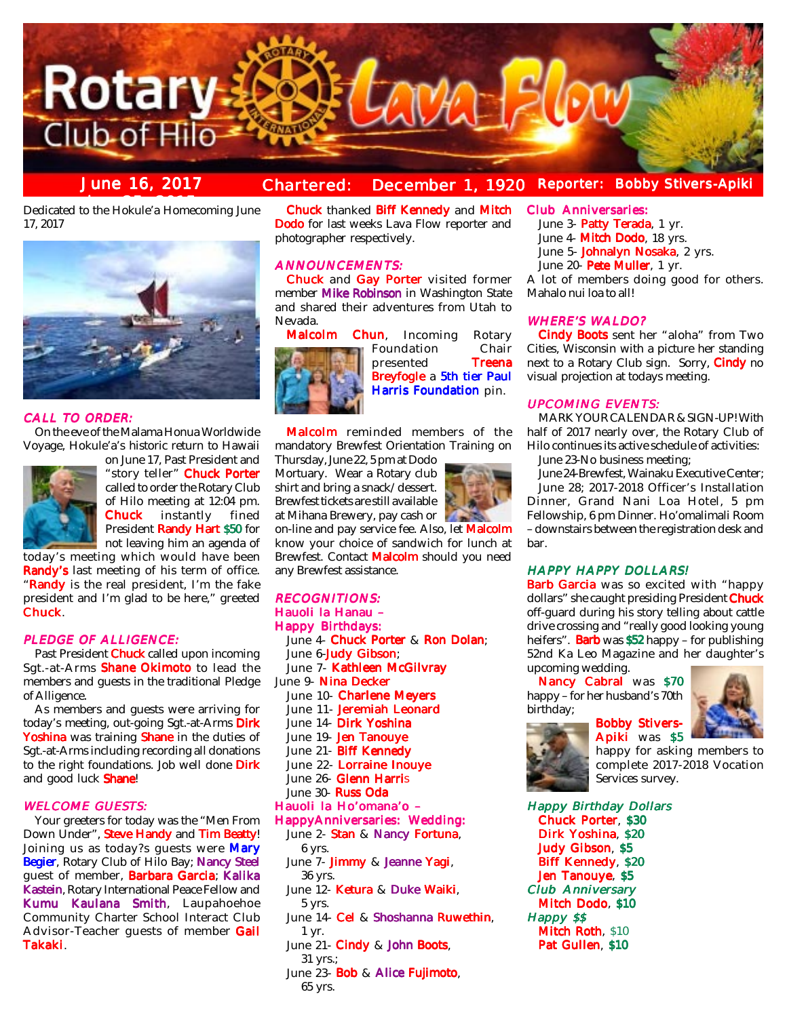

#### **June 16, 2017 Chartered: December 1, 1920 Reporter: Bobby Stivers-Apiki Reporter:**

**Dedicated to the Hokule'a Homecoming June** 17, 2017



#### CALL TO ORDER:

On the eve of the Malama Honua Worldwide Voyage, Hokule'a's historic return to Hawaii



on June 17, Past President and "story teller" Chuck Porter called to order the Rotary Club of Hilo meeting at 12:04 pm.<br>**Chuck** instantly fined instantly President Randy Hart \$50 for not leaving him an agenda of

today's meeting which would have been Randy's last meeting of his term of office. "Randy is the real president, I'm the fake president and I'm glad to be here," greeted Chuck.

#### PLEDGE OF ALLIGENCE:

Past President **Chuck** called upon incoming Sgt.-at-Arms Shane Okimoto to lead the members and guests in the traditional Pledge of Alligence.

As members and guests were arriving for today's meeting, out-going Sgt.-at-Arms Dirk Yoshina was training Shane in the duties of Sgt.-at-Arms including recording all donations to the right foundations. Job well done Dirk and good luck Shane!

#### **WELCOME GUESTS:**

Your greeters for today was the "Men From Down Under", Steve Handy and Tim Beatty! Joining us as today?s guests were Mary Begier, Rotary Club of Hilo Bay; Nancy Steel guest of member, Barbara Garcia; Kalika Kastein, Rotary International Peace Fellow and Kumu Kaulana Smith, Laupahoehoe Community Charter School Interact Club Advisor-Teacher guests of member Gail Takaki.

Chuck thanked Biff Kennedy and Mitch Dodo for last weeks Lava Flow reporter and photographer respectively.

## **ANNOUNCEMENTS:**

Chuck and Gay Porter visited former member Mike Robinson in Washington State and shared their adventures from Utah to Nevada.



**Malcolm Chun**, Incoming Rotary<br>Foundation Chair



Malcolm reminded members of the mandatory Brewfest Orientation Training on

Thursday, June 22, 5 pm at Dodo Mortuary. Wear a Rotary club shirt and bring a snack/dessert. Brewfest tickets are still available at Mihana Brewery, pay cash or

on-line and pay service fee. Also, let Malcolm know your choice of sandwich for lunch at Brewfest. Contact Malcolm should you need any Brewfest assistance.

## **RECOGNITIONS:** Hauoli la Hanau –

Happy Birthdays: June 4- Chuck Porter & Ron Dolan; June 6-Judy Gibson; June 7- Kathleen McGilvray June 9- Nina Decker June 10- Charlene Meyers June 11- Jeremiah Leonard June 14- Dirk Yoshina June 19- Jen Tanouye June 21- Biff Kennedy June 22- Lorraine Inouve June 26- Glenn Harris June 30- Russ Oda Hauoli la Ho'omana'o – HappyAnniversaries: Wedding: June 2- Stan & Nancy Fortuna, 6 yrs. June 7- Jimmy & Jeanne Yagi, 36 yrs. June 12- Ketura & Duke Waiki, 5 yrs. June 14- Cel & Shoshanna Ruwethin, 1 yr. June 21- Cindy & John Boots, 31 yrs.;

June 23- Bob & Alice Fujimoto, 65 yrs.

## Club Anniversaries:

June 3- Patty Terada, 1 yr. June 4- Mitch Dodo, 18 yrs.

June 5- Johnalyn Nosaka, 2 yrs.

June 20- Pete Muller, 1 yr.

A lot of members doing good for others. Mahalo nui loa to all!

#### WHERE'S WALDO?

Cindy Boots sent her "aloha" from Two Cities, Wisconsin with a picture her standing next to a Rotary Club sign. Sorry, Cindy no visual projection at todays meeting.

## **UPCOMING EVENTS:**

MARK YOUR CALENDAR & SIGN-UP! With half of 2017 nearly over, the Rotary Club of Hilo continues its active schedule of activities:

June 23-No business meeting;

June 24-Brewfest, Wainaku Executive Center; June 28; 2017-2018 Officer's Installation Dinner, Grand Nani Loa Hotel, 5 pm

Fellowship, 6 pm Dinner. Ho'omalimali Room – downstairs between the registration desk and bar.

## HAPPY HAPPY DOLLARS!

Barb Garcia was so excited with "happy dollars" she caught presiding President Chuck off-guard during his story telling about cattle drive crossing and "really good looking young heifers". **Barb** was \$52 happy – for publishing 52nd Ka Leo Magazine and her daughter's upcoming wedding.

> Bobby Stivers-Apiki was \$5

Nancy Cabral was \$70 happy – for her husband's 70th birthday;



happy for asking members to complete 2017-2018 Vocation Services survey.

Happy Birthday Dollars Chuck Porter, \$30 Dirk Yoshina, \$20 Judy Gibson, \$5 Biff Kennedy, \$20 Jen Tanouye, \$5 Club Anniversary Mitch Dodo, \$10 Happy \$\$ Mitch Roth, \$10 Pat Gullen, \$10

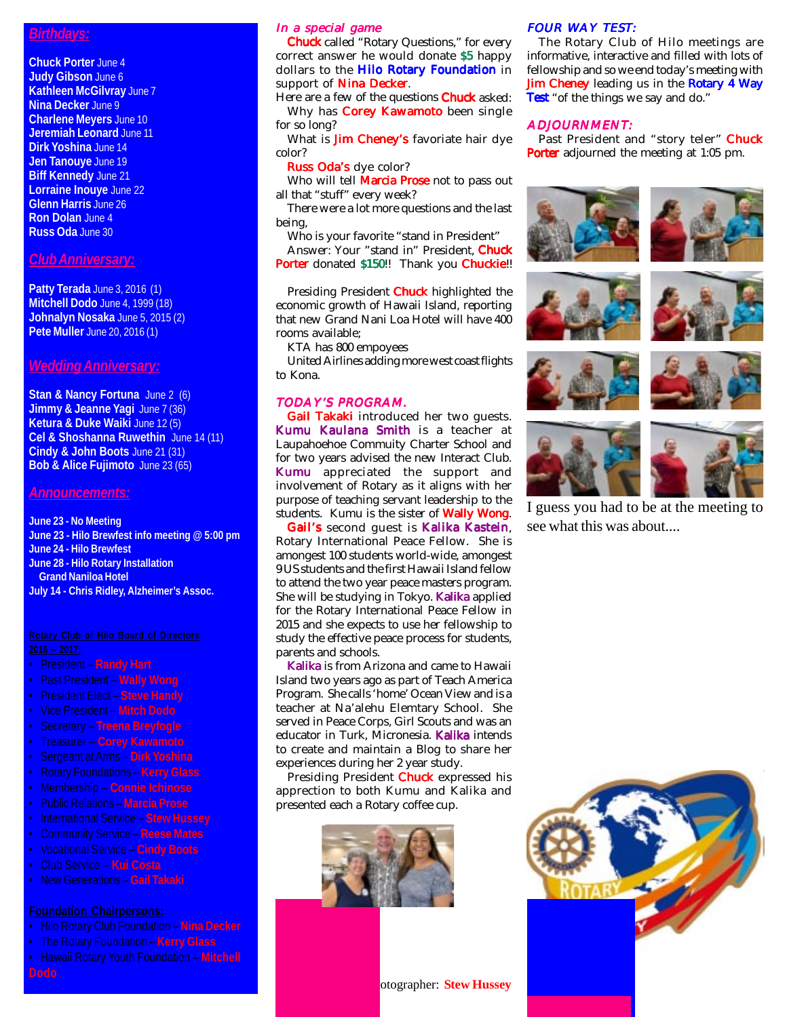## *Birthdays:*

**Chuck Porter** June 4 **Judy Gibson** June 6 **Kathleen McGilvray** June 7 **Nina Decker** June 9 **Charlene Meyers** June 10 **Jeremiah Leonard** June 11 **Dirk Yoshina** June 14 **Jen Tanouye** June 19 **Biff Kennedy June 21 Lorraine Inouye June 22 Glenn Harris** June 26 **Ron Dolan** June 4 **Russ Oda** June 30

# *Club Anniversary:*

**Patty Terada** June 3, 2016 (1) **Mitchell Dodo** June 4, 1999 (18) **Johnalyn Nosaka** June 5, 2015 (2) **Pete Muller** June 20, 2016 (1)

## *Wedding Anniversary:*

**Stan & Nancy Fortuna** June 2 (6) **Jimmy & Jeanne Yagi** June 7 (36) **Ketura & Duke Waiki** June 12 (5) **Cel & Shoshanna Ruwethin** June 14 (11) **Cindy & John Boots** June 21 (31) **Bob & Alice Fujimoto** June 23 (65)

### *Announcements:*

**June 23 - No Meeting June 23 - Hilo Brewfest info meeting @ 5:00 pm June 24 - Hilo Brewfest June 28 - Hilo Rotary Installation Grand Naniloa Hotel July 14 - Chris Ridley, Alzheimer's Assoc.**

- President **Randy Hart**
- Past President **Wally Wong**
- President Elect **Steve Handy**
- Vice President **Mitch Dodo**
- Secretary **Treena Breyfogle**
- Treasurer **Corey Kawamoto**
- Sergeant at Arms **Dirk Yoshina**
- 
- Membership **Connie Ichinose**
- Public Relations **Marcia Prose**
- International Service **Stew Hussey**
- Community Service **Reese Mates**
- Vocational Service **Cindy Boots**
- Club Service **Kui Costa**
- New Generations **Gail Takaki**

- Hilo Rotary Club Foundation **Nina Decker**
- The Rotary Foundation **Kerry Glass**
- Hawaii Rotary Youth Foundation **Mitchell**

## In a special game

Chuck called "Rotary Questions," for every correct answer he would donate \$5 happy dollars to the **Hilo Rotary Foundation** in support of **Nina Decker**.

Here are a few of the questions **Chuck** asked: Why has **Corey Kawamoto** been single for so long?

What is **Jim Cheney's** favoriate hair dye color?

#### Russ Oda's dye color?

Who will tell **Marcia Prose** not to pass out all that "stuff" every week?

There were a lot more questions and the last being,

Who is your favorite "stand in President" Answer: Your "stand in" President, Chuck Porter donated \$150!! Thank you Chuckie!!

Presiding President **Chuck** highlighted the economic growth of Hawaii Island, reporting that new Grand Nani Loa Hotel will have 400 rooms available;

KTA has 800 empoyees

United Airlines adding more west coast flights to Kona.

## TODAY'S PROGRAM.

Gail Takaki introduced her two quests. Kumu Kaulana Smith is a teacher at Laupahoehoe Commuity Charter School and for two years advised the new Interact Club. Kumu appreciated the support and involvement of Rotary as it aligns with her purpose of teaching servant leadership to the students. Kumu is the sister of **Wally Wong**.

Gail's second guest is Kalika Kastein, Rotary International Peace Fellow. She is amongest 100 students world-wide, amongest 9 US students and the first Hawaii Island fellow to attend the two year peace masters program. She will be studying in Tokyo. Kalika applied for the Rotary International Peace Fellow in 2015 and she expects to use her fellowship to study the effective peace process for students, parents and schools.

Kalika is from Arizona and came to Hawaii Island two years ago as part of Teach America Program. She calls 'home' Ocean View and is a teacher at Na'alehu Elemtary School. She served in Peace Corps, Girl Scouts and was an educator in Turk, Micronesia. Kalika intends to create and maintain a Blog to share her experiences during her 2 year study.

Presiding President Chuck expressed his apprection to both Kumu and Kalika and presented each a Rotary coffee cup.



## **FOUR WAY TEST:**

The Rotary Club of Hilo meetings are informative, interactive and filled with lots of fellowship and so we end today's meeting with Jim Cheney leading us in the Rotary 4 Way **Test** "of the things we say and do."

### ADJOURNMENT:

Past President and "story teler" Chuck Porter adjourned the meeting at 1:05 pm.





I guess you had to be at the meeting to see what this was about....



**Photographer: Stew Hussey**